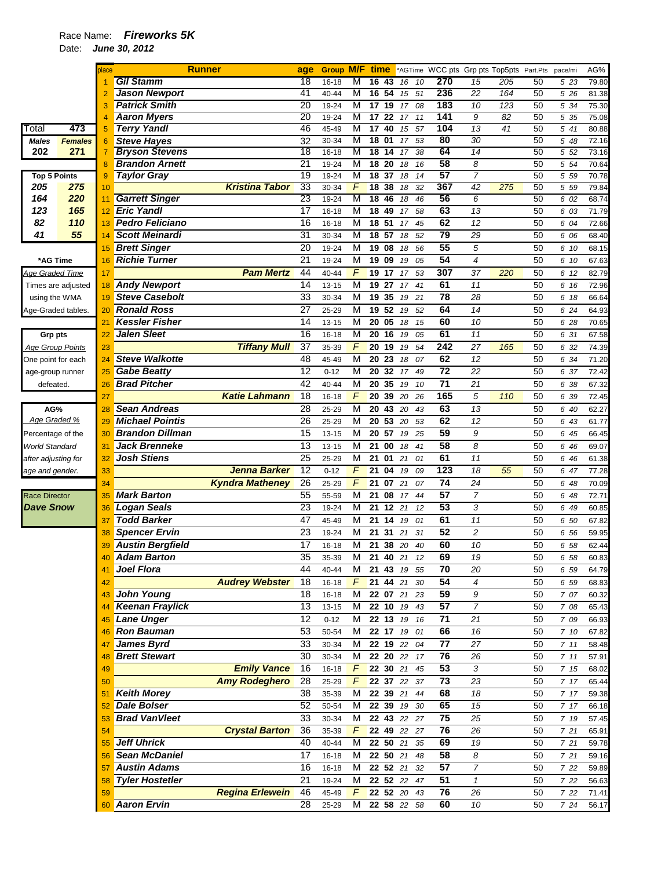## Race Name: *Fireworks 5K*

Date: *June 30, 2012* 

|                         |                    | place          | <b>Runner</b>           | age             |                |            | <b>Group M/F time</b> |    |          |                       |                     | *AGTime WCC pts Grp pts Top5pts Part.Pts |          | pace/mi      | AG%   |
|-------------------------|--------------------|----------------|-------------------------|-----------------|----------------|------------|-----------------------|----|----------|-----------------------|---------------------|------------------------------------------|----------|--------------|-------|
|                         |                    |                | <b>Gil Stamm</b>        | 18              | 16-18          | М          | 16<br>43              | 16 | 10       | 270                   | 15                  | 205                                      | 50       | 5 23         | 79.80 |
|                         |                    |                | <b>Jason Newport</b>    | 41              | 40-44          | М          | 54<br>16              | 15 | 51       | 236                   | 22                  | 164                                      | 50       | 5 26         | 81.38 |
|                         |                    | 3              | <b>Patrick Smith</b>    | $\overline{20}$ | 19-24          | M          | 17<br>19              | 17 | 08       | 183                   | 10                  | $\overline{123}$                         | 50       | 5 34         | 75.30 |
|                         |                    | $\overline{A}$ | <b>Aaron Myers</b>      | 20              | 19-24          | М          | 17<br>22              | 17 | 11       | 141                   | 9                   | 82                                       | 50       | 5 35         | 75.08 |
| Гоtal                   | 473                | 5              | <b>Terry Yandl</b>      | 46              | 45-49          | M          | 17<br>40              | 15 | 57       | 104                   | 13                  | 41                                       | 50       | 5 41         | 80.88 |
| <b>Males</b>            | <b>Females</b>     | 6              | <b>Steve Hayes</b>      | 32              | 30-34          | M          | 18<br>01              | 17 | 53       | 80                    | 30                  |                                          | 50       | 5 48         | 72.16 |
| 202                     | 271                | $\overline{7}$ | <b>Bryson Stevens</b>   | $\overline{18}$ | 16-18          | M          | 18<br>14              | 17 | 38       | 64                    | 14                  |                                          | 50       | 5 52         | 73.16 |
|                         |                    | 8              | <b>Brandon Arnett</b>   | $\overline{21}$ | 19-24          | M          | 18<br>20              | 18 | 16       | 58                    | 8                   |                                          | 50       | 5 54         | 70.64 |
| <b>Top 5 Points</b>     |                    | 9              | <b>Taylor Gray</b>      | $\overline{19}$ | 19-24          | M          | 18<br>37              | 18 | 14       | 57                    | 7                   |                                          | 50       | 5 59         | 70.78 |
| 205                     | 275                | 10             | Kristina Tabor          | 33              | 30-34          | F          | 18<br>38              | 18 | 32       | 367                   | $\overline{42}$     | 275                                      | 50       | 5 59         | 79.84 |
| 164                     | 220                | 11             | <b>Garrett Singer</b>   | 23              | 19-24          | M          | 18<br>46              | 18 | 46       | 56                    | 6                   |                                          | 50       | 6 02         | 68.74 |
| 123                     | 165                | 12             | <b>Eric Yandl</b>       | 17              | 16-18          | M          | 18<br>49              | 17 | 58       | 63                    | 13                  |                                          | 50       | 6 03         | 71.79 |
| 82                      | 110                | 13             | <b>Pedro Feliciano</b>  | 16              | 16-18          | M          | 18<br>51              | 17 | 45       | 62                    | 12                  |                                          | 50       | 6 04         | 72.66 |
| 41                      | 55                 | 14             | <b>Scott Meinardi</b>   | 31              | 30-34          | М          | 18 57                 | 18 | 52       | 79                    | 29                  |                                          | 50       | 6 06         | 68.40 |
|                         |                    | 15             | <b>Brett Singer</b>     | 20              | 19-24          | M          | 19<br>08              | 18 | 56       | 55                    | 5                   |                                          | 50       | 6 10         | 68.15 |
| *AG Time                |                    | 16             | <b>Richie Turner</b>    | 21              | 19-24          | M          | 19<br>09              | 19 | 05       | 54                    | 4                   |                                          | 50       | 6 10         | 67.63 |
| Age Graded Time         |                    | 17             | <b>Pam Mertz</b>        | 44              | 40-44          | F          | 19<br>17              | 17 | 53       | 307                   | 37                  | 220                                      | 50       | 6 12         | 82.79 |
|                         | Times are adjusted | 18             | <b>Andy Newport</b>     | 14              | 13-15          | M          | 19<br>27              | 17 | 41       | 61                    | 11                  |                                          | 50       | 6 16         | 72.96 |
| using the WMA           |                    | 19             | <b>Steve Casebolt</b>   | 33              | 30-34          | M          | 19<br>35              | 19 | 21       | 78                    | 28                  |                                          | 50       | 6 18         | 66.64 |
| Age-Graded tables.      |                    | 20             | <b>Ronald Ross</b>      | $\overline{27}$ | 25-29          | M          | 19 52                 | 19 | 52       | 64                    | 14                  |                                          | 50       | 6 24         | 64.93 |
|                         |                    | 21             | <b>Kessler Fisher</b>   | 14              | 13-15          | M          | 20<br>05              | 18 | 15       | 60                    | 10                  |                                          | 50       | 6 28         | 70.65 |
| <b>Grp pts</b>          |                    | 22             | Jalen Sleet             | 16              | 16-18          | M          | 20<br>16              | 19 | 05       | 61                    | 11                  |                                          | 50       | 6 31         | 67.58 |
| <b>Age Group Points</b> |                    | 23             | <b>Tiffany Mull</b>     | 37              | 35-39          | F          | 20<br>19              | 19 | 54       | 242                   | 27                  | 165                                      | 50       | 6 32         | 74.39 |
| One point for each      |                    | 24             | <b>Steve Walkotte</b>   | 48              | 45-49          | M          | 20<br>23              | 18 | 07       | 62                    | 12                  |                                          | 50       | 6 34         | 71.20 |
| age-group runner        |                    | 25             | <b>Gabe Beatty</b>      | 12              | $0 - 12$       | M          | 20<br>32              | 17 | 49       | $\overline{72}$       | 22                  |                                          | 50       | 6 37         | 72.42 |
| defeated.               |                    | 26             | <b>Brad Pitcher</b>     | 42              | 40-44          | M          | 20<br>35              | 19 | 10       | $\overline{71}$       | 21                  |                                          | 50       | 6 38         | 67.32 |
|                         |                    | 27             | <b>Katie Lahmann</b>    | 18              | 16-18          | F          | 20<br>39              | 20 | 26       | 165                   | 5                   | 110                                      | 50       | 6 39         | 72.45 |
| AG%                     |                    | 28             | <b>Sean Andreas</b>     | 28              | 25-29          | M          | 20<br>43              | 20 | 43       | 63                    | 13                  |                                          | 50       | 6 40         | 62.27 |
| Age Graded %            |                    | 29             | <b>Michael Pointis</b>  | 26              | 25-29          | M          | 53<br>20              | 20 | 53       | 62                    | 12                  |                                          | 50       | 6 43         | 61.77 |
| Percentage of the       |                    | 30             | <b>Brandon Dillman</b>  | 15              | 13-15          | M          | 57<br>20              | 19 | 25       | 59                    | 9                   |                                          | 50       | 6 45         | 66.45 |
| <b>World Standard</b>   |                    | 31             | <b>Jack Brenneke</b>    | 13              | 13-15          | M          | 21<br>00              | 18 | 41       | 58                    | 8                   |                                          | 50       | 6 46         | 69.07 |
| after adjusting for     |                    | 32             | <b>Josh Stiens</b>      | 25              | 25-29          | M          | 21<br>01              | 21 | 01       | 61                    | 11                  |                                          | 50       | 6 46         | 61.38 |
| age and gender.         |                    | 33             | Jenna Barker            | 12              | $0 - 12$       | F          | 21<br>04              | 19 | 09       | 123                   | 18                  | 55                                       | 50       | 6 47         | 77.28 |
|                         |                    | 34             | <b>Kyndra Matheney</b>  | 26              | 25-29          | F          | 21<br>07              | 21 | 07       | 74                    | 24                  |                                          | 50       | 6 48         | 70.09 |
| <b>Race Director</b>    |                    | 35             | <b>Mark Barton</b>      | 55              | 55-59          | M          | 21<br>08              | 17 | 44       | 57                    | 7                   |                                          | 50       | 6 48         | 72.71 |
| <b>Dave Snow</b>        |                    | 36             | ogan Seals.<br>L        | 23              | 19-24          | M          | 12<br>21              | 21 | 12       | 53                    | 3                   |                                          | 50       | 6 49         | 60.85 |
|                         |                    | 37             | <b>Todd Barker</b>      | 47              | 45-49          | M          | 21<br>14              | 19 | 01       | 61                    | 11                  |                                          | 50       | 6 50         | 67.82 |
|                         |                    | 38             | <b>Spencer Ervin</b>    | 23              | 19-24          | M          | 21<br>31              | 21 | 31       | 52                    | 2                   |                                          | 50       | 6 56         | 59.95 |
|                         |                    | 39             | <b>Austin Bergfield</b> | 17              | 16-18          | М          | 38<br>21              | 20 | 40       | 60                    | 10                  |                                          | 50       | 6 58         | 62.44 |
|                         |                    |                | <b>Adam Barton</b>      |                 |                |            |                       |    |          |                       |                     |                                          |          |              |       |
|                         |                    |                | <b>Joel Flora</b>       | 35<br>44        | 35-39<br>40-44 | ΙVΙ<br>м   | 21 40<br>21 43 19     | 21 | 12       | 69<br>70              | 19<br>20            |                                          | 50<br>50 | 6 58<br>6 59 | 60.83 |
|                         |                    | 41             | <b>Audrey Webster</b>   | 18              |                | F          | 21 44 21              |    | 55<br>30 | 54                    | 4                   |                                          | 50       |              | 64.79 |
|                         |                    | 42             |                         |                 | 16-18          |            |                       |    |          |                       |                     |                                          |          | 6 59         | 68.83 |
|                         |                    | 43             | John Young              | 18<br>13        | 16-18          | М          | 22 07 21              |    | 23       | 59<br>$\overline{57}$ | 9<br>$\overline{7}$ |                                          | 50       | 7 07         | 60.32 |
|                         |                    | 44             | <b>Keenan Fraylick</b>  |                 | 13-15          | м          | 22 10                 | 19 | 43       |                       |                     |                                          | 50       | 7 08         | 65.43 |
|                         |                    | 45             | <b>Lane Unger</b>       | 12              | $0 - 12$       | М          | 22 13                 | 19 | 16       | 71                    | 21                  |                                          | 50       | 7 09         | 66.93 |
|                         |                    | 46             | <b>Ron Bauman</b>       | 53              | 50-54          | М          | 22 17                 | 19 | 01       | 66                    | 16                  |                                          | 50       | 7 10         | 67.82 |
|                         |                    | 47             | <b>James Byrd</b>       | 33              | 30-34          | М          | 22 19 22              |    | 04       | 77                    | 27                  |                                          | 50       | 711          | 58.48 |
|                         |                    | 48             | <b>Brett Stewart</b>    | 30              | 30-34          | М          | 22 20 22              |    | 17       | 76                    | 26                  |                                          | 50       | 711          | 57.91 |
|                         |                    | 49             | <b>Emily Vance</b>      | 16              | 16-18          | F          | 22 30 21              |    | 45       | 53                    | 3                   |                                          | 50       | 7 15         | 68.02 |
|                         |                    | 50             | <b>Amy Rodeghero</b>    | 28              | 25-29          | $\sqrt{F}$ | 22 37 22              |    | 37       | $\overline{73}$       | 23                  |                                          | 50       | 7 17         | 65.44 |
|                         |                    | 51             | <b>Keith Morey</b>      | 38              | 35-39          | М          | 22 39 21              |    | 44       | 68                    | 18                  |                                          | 50       | 7 17         | 59.38 |
|                         |                    | 52             | <b>Dale Bolser</b>      | 52              | 50-54          | м          | 22 39 19              |    | 30       | 65                    | 15                  |                                          | 50       | 7 17         | 66.18 |
|                         |                    | 53             | <b>Brad VanVleet</b>    | 33              | 30-34          | М          | 22 43 22              |    | 27       | 75                    | 25                  |                                          | 50       | 7 19         | 57.45 |
|                         |                    | 54             | <b>Crystal Barton</b>   | 36              | 35-39          | F          | 22 49 22              |    | 27       | 76                    | 26                  |                                          | 50       | 7 21         | 65.91 |
|                         |                    | 55             | <b>Jeff Uhrick</b>      | 40              | $40 - 44$      | M          | 22 50 21              |    | 35       | 69                    | 19                  |                                          | 50       | 7 21         | 59.78 |
|                         |                    | 56             | <b>Sean McDaniel</b>    | 17              | 16-18          | М          | 22 50 21              |    | 48       | 58                    | 8                   |                                          | 50       | 7 21         | 59.16 |
|                         |                    | 57             | <b>Austin Adams</b>     | 16              | 16-18          | М          | 22 52 21              |    | 32       | 57                    | 7                   |                                          | 50       | 7 22         | 59.89 |
|                         |                    | 58             | <b>Tyler Hostetler</b>  | 21              | 19-24          | М          | 22 52 22              |    | 47       | 51                    | $\mathbf{1}$        |                                          | 50       | 7 22         | 56.63 |
|                         |                    | 59             | <b>Regina Erlewein</b>  | 46              | 45-49          | F          | 22 52 20              |    | 43       | 76                    | 26                  |                                          | 50       | 7 22         | 71.41 |
|                         |                    | 60             | <b>Aaron Ervin</b>      | 28              | 25-29          | M          | 22 58 22 58           |    |          | 60                    | 10                  |                                          | 50       | 7 24         | 56.17 |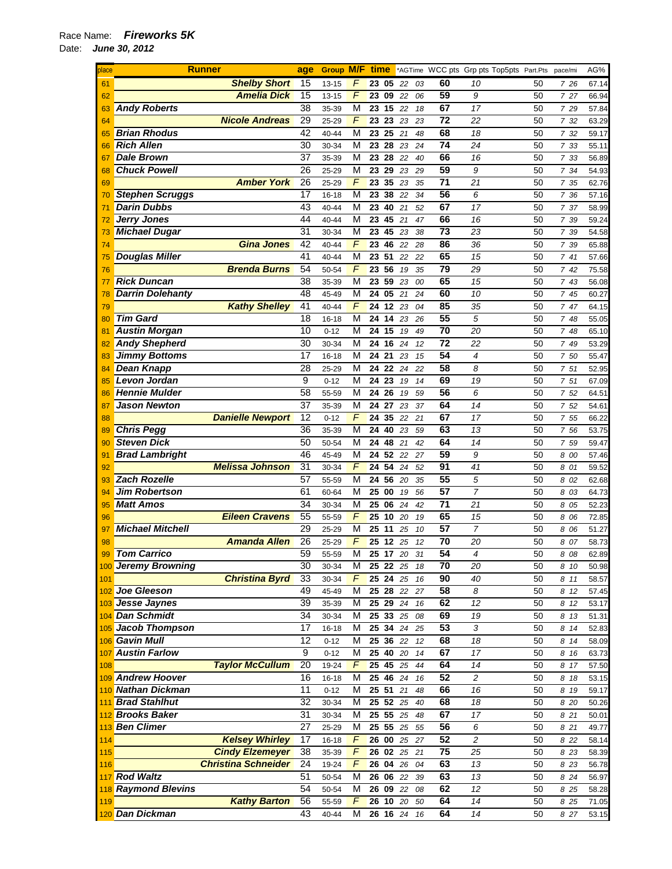| place | <b>Runner</b>              | age             | <b>Group M/F time</b> |                         |          |                 |    |    |                 | *AGTime WCC pts Grp pts Top5pts Part.Pts pace/mi |    |       | AG%   |
|-------|----------------------------|-----------------|-----------------------|-------------------------|----------|-----------------|----|----|-----------------|--------------------------------------------------|----|-------|-------|
| 61    | <b>Shelby Short</b>        | 15              | 13-15                 | F                       | 23 05    |                 | 22 | 03 | 60              | 10                                               | 50 | 7 26  | 67.14 |
| 62    | <b>Amelia Dick</b>         | 15              | 13-15                 | $\overline{F}$          | 23 09    |                 | 22 | 06 | 59              | 9                                                | 50 | 7 27  | 66.94 |
| 63    | <b>Andy Roberts</b>        | 38              | 35-39                 | M                       | 23       | 15              | 22 | 18 | 67              | 17                                               | 50 | 7 29  | 57.84 |
| 64    | <b>Nicole Andreas</b>      | 29              | 25-29                 | F                       | 23 23 23 |                 |    | 23 | 72              | 22                                               | 50 | 7 32  | 63.29 |
| 65    | <b>Brian Rhodus</b>        | 42              | 40-44                 | M                       | 23       | 25              | 21 | 48 | 68              | 18                                               | 50 | 7 32  | 59.17 |
| 66    | <b>Rich Allen</b>          | 30              | 30-34                 | M                       | 23 28 23 |                 |    | 24 | 74              | 24                                               | 50 | 7 33  | 55.11 |
| 67    | <b>Dale Brown</b>          | 37              | 35-39                 | M                       | 23 28    |                 | 22 | 40 | 66              | 16                                               | 50 | 7 33  | 56.89 |
| 68    | <b>Chuck Powell</b>        | 26              | 25-29                 | M                       | 23 29    |                 | 23 | 29 | 59              | 9                                                | 50 | 7 34  | 54.93 |
| 69    | <b>Amber York</b>          | 26              | 25-29                 | $\overline{F}$          | 23       | 35              | 23 | 35 | $\overline{71}$ | 21                                               | 50 | 7 35  | 62.76 |
|       | <b>Stephen Scruggs</b>     | $\overline{17}$ | 16-18                 | $\overline{\mathsf{M}}$ | 23       | 38              | 22 | 34 | 56              | 6                                                | 50 | 7 36  | 57.16 |
| 70    | <b>Darin Dubbs</b>         | 43              |                       | $\overline{\mathsf{M}}$ | 23       | 40              |    |    | 67              | 17                                               |    |       |       |
| 71    |                            | 44              | 40-44                 |                         |          |                 | 21 | 52 |                 |                                                  | 50 | 7 37  | 58.99 |
| 72    | <b>Jerry Jones</b>         |                 | 40-44                 | $\overline{\mathsf{M}}$ | 23 45 21 |                 |    | 47 | 66              | 16                                               | 50 | 7 39  | 59.24 |
| 73    | <b>Michael Dugar</b>       | 31              | 30-34                 | M                       | 23       | 45              | 23 | 38 | 73              | 23                                               | 50 | 7 39  | 54.58 |
| 74    | <b>Gina Jones</b>          | 42              | 40-44                 | F                       | 23       | 46              | 22 | 28 | 86              | 36                                               | 50 | 7 39  | 65.88 |
| 75    | <b>Douglas Miller</b>      | 41              | 40-44                 | M                       | 23 51    |                 | 22 | 22 | 65              | 15                                               | 50 | 741   | 57.66 |
| 76    | <b>Brenda Burns</b>        | 54              | 50-54                 | F                       | 23 56    |                 | 19 | 35 | $\overline{79}$ | 29                                               | 50 | 7 42  | 75.58 |
| 77    | <b>Rick Duncan</b>         | 38              | 35-39                 | M                       | 23       | 59              | 23 | 00 | 65              | 15                                               | 50 | 7 43  | 56.08 |
| 78    | <b>Darrin Dolehanty</b>    | 48              | 45-49                 | М                       | 24 05    |                 | 21 | 24 | 60              | 10                                               | 50 | 7 45  | 60.27 |
| 79    | <b>Kathy Shelley</b>       | 41              | 40-44                 | $\overline{F}$          | 24       | $\overline{12}$ | 23 | 04 | 85              | 35                                               | 50 | 7 47  | 64.15 |
| 80    | <b>Tim Gard</b>            | 18              | 16-18                 | M                       | 24 14    |                 | 23 | 26 | 55              | 5                                                | 50 | 7 48  | 55.05 |
| 81    | <b>Austin Morgan</b>       | 10              | $0 - 12$              | M                       | 24 15    |                 | 19 | 49 | 70              | 20                                               | 50 | 7 48  | 65.10 |
| 82    | <b>Andy Shepherd</b>       | $\overline{30}$ | 30-34                 | M                       | 24       | 16              | 24 | 12 | $\overline{72}$ | 22                                               | 50 | 7 49  | 53.29 |
| 83    | <b>Jimmy Bottoms</b>       | $\overline{17}$ | $16 - 18$             | M                       | $24$ 21  |                 | 23 | 15 | 54              | 4                                                | 50 | 7 50  | 55.47 |
| 84    | <b>Dean Knapp</b>          | 28              | 25-29                 | M                       | 24 22    |                 | 24 | 22 | 58              | 8                                                | 50 | 7 51  | 52.95 |
| 85    | <b>Levon Jordan</b>        | 9               | $0 - 12$              | M                       | 24 23    |                 | 19 | 14 | 69              | 19                                               | 50 | 7 51  | 67.09 |
| 86    | <b>Hennie Mulder</b>       | 58              | 55-59                 | M                       | 24       | 26              | 19 | 59 | 56              | 6                                                | 50 | 7 52  | 64.51 |
| 87    | <b>Jason Newton</b>        | 37              | 35-39                 | M                       | 24 27    |                 | 23 | 37 | 64              | 14                                               | 50 | 7 52  | 54.61 |
| 88    | <b>Danielle Newport</b>    | 12              | $0 - 12$              | $\overline{F}$          | 24       | 35              | 22 | 21 | 67              | 17                                               | 50 | 7 55  | 66.22 |
|       | <b>Chris Pegg</b>          | 36              | 35-39                 | M                       | 24       | 40              | 23 | 59 | 63              | 13                                               | 50 | 7 56  | 53.75 |
| 89    | <b>Steven Dick</b>         | 50              | 50-54                 | M                       | 24       | 48              | 21 | 42 | 64              | 14                                               | 50 | 7 59  | 59.47 |
| 90    |                            | 46              |                       | M                       |          |                 |    |    | 59              |                                                  |    |       |       |
| 91    | <b>Brad Lambright</b>      |                 | 45-49                 | F                       | 24 52 22 |                 |    | 27 | 91              | 9                                                | 50 | 8 00  | 57.46 |
| 92    | <b>Melissa Johnson</b>     | 31              | 30-34                 |                         | 24       | 54              | 24 | 52 | 55              | 41                                               | 50 | 8 01  | 59.52 |
| 93    | <b>Zach Rozelle</b>        | $\overline{57}$ | 55-59                 | M                       | 24 56 20 |                 |    | 35 |                 | 5                                                | 50 | 8 02  | 62.68 |
| 94    | <b>Jim Robertson</b>       | 61              | 60-64                 | M                       | 25       | 00              | 19 | 56 | 57              | $\overline{7}$                                   | 50 | 8 03  | 64.73 |
| 95    | <b>Matt Amos</b>           | $\overline{34}$ | 30-34                 | M                       | 25 06    |                 | 24 | 42 | $\overline{71}$ | 21                                               | 50 | 8 05  | 52.23 |
| 96    | <b>Eileen Cravens</b>      | 55              | 55-59                 | $\overline{F}$          | 25       | 10              | 20 | 19 | 65              | 15                                               | 50 | 8 06  | 72.85 |
| 97    | <b>Michael Mitchell</b>    | 29              | 25-29                 | M                       | 25       | 11              | 25 | 10 | 57              | $\overline{7}$                                   | 50 | 8 0 6 | 51.27 |
| 98    | <b>Amanda Allen</b>        | 26              | 25-29                 | F                       | 25       | 12              | 25 | 12 | 70              | 20                                               | 50 | 8 07  | 58.73 |
| 99    | <b>Tom Carrico</b>         | 59              | 55-59                 | М                       | 25 17    |                 | 20 | 31 | 54              | 4                                                | 50 | 8 08  | 62.89 |
|       | 100 Jeremy Browning        | 30              | 30-34                 | м                       | 25 22 25 |                 |    | 18 | 70              | 20                                               | 50 | 8 10  | 50.98 |
| 101   | <b>Christina Byrd</b>      | 33              | 30-34                 | $\sqrt{2}$              | 25 24 25 |                 |    | 16 | 90              | 40                                               | 50 | 8 11  | 58.57 |
|       | 102 Joe Gleeson            | 49              | 45-49                 | M                       | 25 28    |                 | 22 | 27 | 58              | 8                                                | 50 | 8 12  | 57.45 |
|       | 103 Jesse Jaynes           | 39              | 35-39                 | М                       | 25 29 24 |                 |    | 16 | 62              | 12                                               | 50 | 8 12  | 53.17 |
|       | 104 Dan Schmidt            | 34              | 30-34                 | M                       | 25 33    |                 | 25 | 08 | 69              | 19                                               | 50 | 8 13  | 51.31 |
|       | 105 Jacob Thompson         | 17              | $16 - 18$             | М                       | 25 34 24 |                 |    | 25 | 53              | 3                                                | 50 | 8 14  | 52.83 |
|       | 106 Gavin Mull             | 12              | $0 - 12$              | M                       | 25 36 22 |                 |    | 12 | 68              | 18                                               | 50 | 8 14  | 58.09 |
|       | 107 Austin Farlow          | 9               | $0 - 12$              | M                       | 25       | 40 20           |    | 14 | 67              | 17                                               | 50 | 8 16  | 63.73 |
| 108   | <b>Taylor McCullum</b>     | 20              | 19-24                 | F                       | 25 45 25 |                 |    | 44 | 64              | 14                                               | 50 | 8 17  | 57.50 |
|       | 109 Andrew Hoover          | 16              | 16-18                 | M                       | 25 46 24 |                 |    | 16 | 52              | 2                                                | 50 | 8 18  | 53.15 |
|       | 110 Nathan Dickman         | 11              | $0 - 12$              | M                       | 25 51    |                 | 21 | 48 | 66              | 16                                               | 50 | 8 19  | 59.17 |
|       | 111 Brad Stahlhut          | 32              | 30-34                 | M                       | 25 52 25 |                 |    | 40 | 68              | 18                                               | 50 | 8 20  | 50.26 |
|       | 112 Brooks Baker           | 31              | 30-34                 | M                       | 25 55 25 |                 |    | 48 | 67              | 17                                               | 50 | 8 21  | 50.01 |
|       | 113 Ben Climer             | $\overline{27}$ |                       | M                       | 25 55 25 |                 |    |    | 56              | 6                                                |    |       |       |
|       | <b>Kelsey Whirley</b>      |                 | 25-29                 | F                       |          |                 |    | 55 | 52              | 2                                                | 50 | 8 21  | 49.77 |
| 114   |                            | 17              | $16 - 18$             |                         | 26 00 25 |                 |    | 27 |                 |                                                  | 50 | 8 2 2 | 58.14 |
| 115   | <b>Cindy Elzemeyer</b>     | 38              | 35-39                 | $\overline{F}$          | 26 02 25 |                 |    | 21 | $\overline{75}$ | 25                                               | 50 | 8 2 3 | 58.39 |
| 116   | <b>Christina Schneider</b> | 24              | 19-24                 | F                       | 26 04 26 |                 |    | 04 | 63              | 13                                               | 50 | 8 23  | 56.78 |
|       | 117 Rod Waltz              | 51              | 50-54                 | M                       | 26 06 22 |                 |    | 39 | 63              | 13                                               | 50 | 8 2 4 | 56.97 |
|       | 118 Raymond Blevins        | 54              | 50-54                 | М                       | 26 09 22 |                 |    | 08 | 62              | 12                                               | 50 | 8 25  | 58.28 |
| 119   | <b>Kathy Barton</b>        | 56              | 55-59                 | F                       | 26 10    |                 | 20 | 50 | 64              | 14                                               | 50 | 8 25  | 71.05 |
|       | 120 Dan Dickman            | 43              | 40-44                 | М                       | 26 16 24 |                 |    | 16 | 64              | 14                                               | 50 | 8 27  | 53.15 |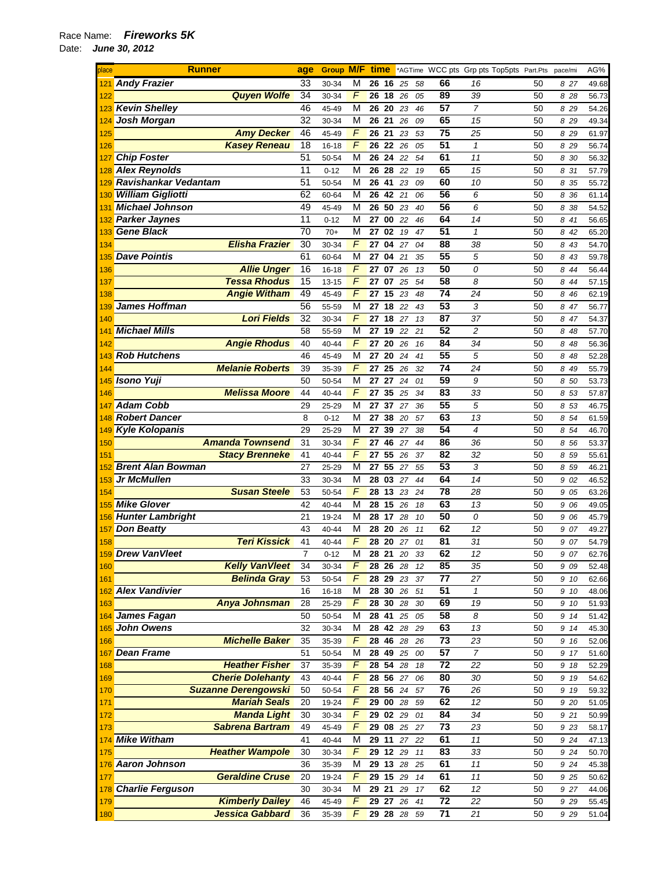## Race Name: *Fireworks 5K*  Date: *June 30, 2012*

| place | <b>Runner</b>                    | age             |           |                |    |                    |             |                 | <b>Group M/F time</b> *AGTime WCC pts Grp pts Top5pts Part.Pts pace/mi |    |       | AG%   |
|-------|----------------------------------|-----------------|-----------|----------------|----|--------------------|-------------|-----------------|------------------------------------------------------------------------|----|-------|-------|
| 121   | <b>Andy Frazier</b>              | 33              | 30-34     | м              |    | 26 16              | 25<br>58    | 66              | 16                                                                     | 50 | 827   | 49.68 |
| 122   | <b>Quyen Wolfe</b>               | 34              | 30-34     | F              |    | 26 18 26           | 05          | 89              | 39                                                                     | 50 | 8 28  | 56.73 |
| 123   | <b>Kevin Shelley</b>             | 46              | 45-49     | M              |    | 26 20              | 23<br>46    | 57              | $\overline{7}$                                                         | 50 | 8 29  | 54.26 |
| 124   | <b>Josh Morgan</b>               | 32              | 30-34     | М              |    | 26 21              | 26<br>09    | 65              | 15                                                                     | 50 | 8 2 9 | 49.34 |
| 125   | <b>Amy Decker</b>                | 46              | 45-49     | F              |    | 26 21              | 23<br>53    | 75              | 25                                                                     | 50 | 8 29  | 61.97 |
| 126   | <b>Kasey Reneau</b>              | 18              | 16-18     | F              |    | 26 22 26           | 05          | 51              | $\mathbf{1}$                                                           | 50 | 8 2 9 | 56.74 |
| 127   | <b>Chip Foster</b>               | 51              | 50-54     | M              | 26 | 24                 | 54<br>22    | 61              | 11                                                                     | 50 | 8 30  | 56.32 |
| 128   | <b>Alex Reynolds</b>             | 11              | $0 - 12$  | М              |    | 26 28              | 22<br>19    | 65              | 15                                                                     | 50 | 8 31  | 57.79 |
|       | <b>Ravishankar Vedantam</b>      | 51              | 50-54     | M              |    | 26 41              | 23<br>09    | 60              | 10                                                                     | 50 | 8 35  | 55.72 |
| 130   | <b>William Gigliotti</b>         | 62              | 60-64     | М              |    | 26 42 21           | 06          | $\overline{56}$ | 6                                                                      | 50 | 8 36  | 61.14 |
| 131   | <b>Michael Johnson</b>           | 49              | 45-49     | M              |    | $26\ 50\ 23$       | 40          | 56              | 6                                                                      | 50 | 8 38  | 54.52 |
| 132   | <b>Parker Jaynes</b>             | $\overline{11}$ | $0 - 12$  | M              | 27 | 00                 | 22<br>46    | 64              | 14                                                                     | 50 | 8 41  | 56.65 |
|       | 133 Gene Black                   | 70              | $70+$     | M              |    | 27 02              | 19<br>47    | 51              | $\mathbf{1}$                                                           | 50 | 8 42  | 65.20 |
| 134   | <b>Elisha Frazier</b>            | 30              | 30-34     | F              | 27 | 04                 | 27<br>04    | 88              | 38                                                                     | 50 | 8 43  | 54.70 |
|       | 135 Dave Pointis                 | 61              | 60-64     | M              | 27 | 04 21              |             | 55              | 5                                                                      | 50 | 8 43  | 59.78 |
|       | <b>Allie Unger</b>               | 16              | 16-18     | F              | 27 | 07                 | 35          | 50              |                                                                        | 50 |       |       |
| 136   | <b>Tessa Rhodus</b>              | 15              |           | F              |    |                    | 26<br>13    | 58              | 0                                                                      |    | 8 4 4 | 56.44 |
| 137   |                                  |                 | $13 - 15$ | F              |    | 27 07 25           | 54          | $\overline{74}$ | 8                                                                      | 50 | 8 44  | 57.15 |
| 138   | <b>Angie Witham</b>              | 49              | 45-49     |                | 27 | 15                 | 23<br>48    |                 | 24                                                                     | 50 | 8 4 6 | 62.19 |
| 139   | <b>James Hoffman</b>             | 56              | 55-59     | M              | 27 | 18 22              | 43          | 53              | 3                                                                      | 50 | 8 47  | 56.77 |
| 140   | <b>Lori Fields</b>               | 32              | 30-34     | F              | 27 | 18                 | 27<br>13    | 87              | 37                                                                     | 50 | 8 47  | 54.37 |
| 141   | <b>Michael Mills</b>             | 58              | 55-59     | M              |    | 27 19              | 22<br>21    | $\overline{52}$ | $\overline{c}$                                                         | 50 | 8 48  | 57.70 |
| 142   | <b>Angie Rhodus</b>              | 40              | 40-44     | $\overline{F}$ | 27 | 20                 | 26<br>16    | $\overline{84}$ | 34                                                                     | 50 | 8 48  | 56.36 |
| 143   | <b>Rob Hutchens</b>              | 46              | 45-49     | М              | 27 | 20                 | 24<br>41    | 55              | 5                                                                      | 50 | 8 48  | 52.28 |
| 144   | <b>Melanie Roberts</b>           | 39              | 35-39     | F              | 27 | 25                 | 26<br>32    | 74              | 24                                                                     | 50 | 8 49  | 55.79 |
| 145   | <b>Isono Yuji</b>                | 50              | 50-54     | М              |    | 27 27              | 24<br>01    | 59              | 9                                                                      | 50 | 8 50  | 53.73 |
| 146   | <b>Melissa Moore</b>             | 44              | 40-44     | F              | 27 | 35 25              | 34          | 83              | 33                                                                     | 50 | 8 53  | 57.87 |
| 147   | <b>Adam Cobb</b>                 | 29              | 25-29     | M              | 27 | 37                 | 27<br>36    | $\overline{55}$ | 5                                                                      | 50 | 8 53  | 46.75 |
|       | 148 Robert Dancer                | 8               | $0 - 12$  | M              | 27 | 38                 | 20<br>57    | 63              | 13                                                                     | 50 | 8 54  | 61.59 |
|       | 149 Kyle Kolopanis               | 29              | 25-29     | м              | 27 | 39                 | 38<br>27    | 54              | $\overline{4}$                                                         | 50 | 8 54  | 46.70 |
| 150   | <b>Amanda Townsend</b>           | 31              | 30-34     | F              | 27 | 46                 | 27<br>44    | 86              | 36                                                                     | 50 | 8 56  | 53.37 |
| 151   | <b>Stacy Brenneke</b>            | 41              | 40-44     | F              | 27 | $\overline{55}$ 26 | 37          | 82              | 32                                                                     | 50 | 8 59  | 55.61 |
| 152   | <b>Brent Alan Bowman</b>         | 27              | 25-29     | М              | 27 | 55 27              | 55          | 53              | 3                                                                      | 50 | 8 59  | 46.21 |
| 153   | Jr McMullen                      | 33              | 30-34     | М              | 28 | 03                 | 27<br>44    | 64              | 14                                                                     | 50 | 9 02  | 46.52 |
| 154   | <b>Susan Steele</b>              | 53              | 50-54     | F              |    | 28 13 23           | 24          | 78              | 28                                                                     | 50 | 9 05  | 63.26 |
|       | 155 Mike Glover                  | 42              | 40-44     | М              | 28 | 15 26              | 18          | 63              | 13                                                                     | 50 | 9 06  | 49.05 |
|       | 156 Hunter Lambright             | 21              | 19-24     | М              |    | 28 17              | 28<br>10    | 50              | 0                                                                      | 50 | 9 06  | 45.79 |
|       | 157 Don Beatty                   | 43              | 40-44     | M              | 28 | 20                 | 26<br>11    | 62              | 12                                                                     | 50 | 9 07  | 49.27 |
| 158   | <b>Teri Kissick</b>              | 41              | 40-44     | F              |    | 28 20 27           | 01          | 81              | 31                                                                     | 50 | 9 07  | 54.79 |
|       | 159 Drew VanVleet                | $\overline{7}$  | $0 - 12$  | M              |    | 28 21              | 20<br>33    | 62              | 12                                                                     | 50 | 9 07  | 62.76 |
| 160   | <b>Kelly VanVleet</b>            | 34              | 30-34     | F              |    | 28 26 28           | 12          | 85              | 35                                                                     | 50 | 9 0 9 | 52.48 |
| 161   | <b>Belinda Gray</b>              | 53              | 50-54     | F              |    | 28 29 23           | 37          | 77              | 27                                                                     | 50 | 9 10  | 62.66 |
|       | 162 Alex Vandivier               | 16              | 16-18     | М              |    |                    | 28 30 26 51 | 51              | $\mathbf{1}$                                                           | 50 | 9 10  | 48.06 |
|       |                                  |                 |           | F              |    |                    |             | 69              |                                                                        |    |       |       |
| 163   | Anya Johnsman<br>164 James Fagan | 28<br>50        | 25-29     |                |    | 28 30 28           | 30          | 58              | 19                                                                     | 50 | 9 10  | 51.93 |
|       | 165 John Owens                   |                 | 50-54     | М              |    | 28 41              | 25<br>05    |                 | 8                                                                      | 50 | 9 14  | 51.42 |
|       |                                  | 32              | 30-34     | М              |    | 28 42 28           | 29          | 63              | 13                                                                     | 50 | 9 14  | 45.30 |
| 166   | <b>Michelle Baker</b>            | 35              | 35-39     | F              |    | 28 46              | 28<br>26    | 73              | 23                                                                     | 50 | 9 16  | 52.06 |
|       | 167 Dean Frame                   | 51              | 50-54     | M              |    | 28 49              | 25<br>00    | 57              | $\overline{7}$                                                         | 50 | 9 17  | 51.60 |
| 168   | <b>Heather Fisher</b>            | 37              | 35-39     | F              |    | 28 54 28           | 18          | $\overline{72}$ | 22                                                                     | 50 | 9 18  | 52.29 |
| 169   | <b>Cherie Dolehanty</b>          | 43              | $40 - 44$ | F              |    | 28 56 27           | 06          | 80              | 30                                                                     | 50 | 9 19  | 54.62 |
| 170   | <b>Suzanne Derengowski</b>       | 50              | 50-54     | F              |    | 28 56 24           | 57          | 76              | 26                                                                     | 50 | 9 19  | 59.32 |
| 171   | <b>Mariah Seals</b>              | 20              | 19-24     | F              |    | 29 00 28           | 59          | 62              | 12                                                                     | 50 | 9 20  | 51.05 |
| 172   | <b>Manda Light</b>               | 30              | 30-34     | F              |    | 29 02 29           | 01          | 84              | 34                                                                     | 50 | 9 21  | 50.99 |
| 173   | <b>Sabrena Bartram</b>           | 49              | 45-49     | F              |    | 29 08              | 25<br>27    | 73              | 23                                                                     | 50 | 9 23  | 58.17 |
|       | 174 Mike Witham                  | 41              | 40-44     | M              |    | 29 11              | 27<br>22    | 61              | 11                                                                     | 50 | 9 24  | 47.13 |
| 175   | <b>Heather Wampole</b>           | 30              | 30-34     | $\overline{F}$ |    | 29 12 29           | 11          | 83              | 33                                                                     | 50 | 9 24  | 50.70 |
|       | 176 Aaron Johnson                | 36              | 35-39     | М              |    | 29 13 28           | 25          | 61              | 11                                                                     | 50 | 9 2 4 | 45.38 |
| 177   | <b>Geraldine Cruse</b>           | 20              | 19-24     | F              |    | 29 15 29           | 14          | 61              | 11                                                                     | 50 | 9 25  | 50.62 |
|       | 178 Charlie Ferguson             | 30              | 30-34     | M              |    | 29 21 29           | 17          | 62              | 12                                                                     | 50 | 9 27  | 44.06 |
| 179   | <b>Kimberly Dailey</b>           | 46              | 45-49     | F              |    |                    | 29 27 26 41 | $\overline{72}$ | 22                                                                     | 50 | 9 2 9 | 55.45 |
| 180   | Jessica Gabbard                  | 36              | 35-39     | F              |    |                    | 29 28 28 59 | $\overline{71}$ | 21                                                                     | 50 | 9 2 9 | 51.04 |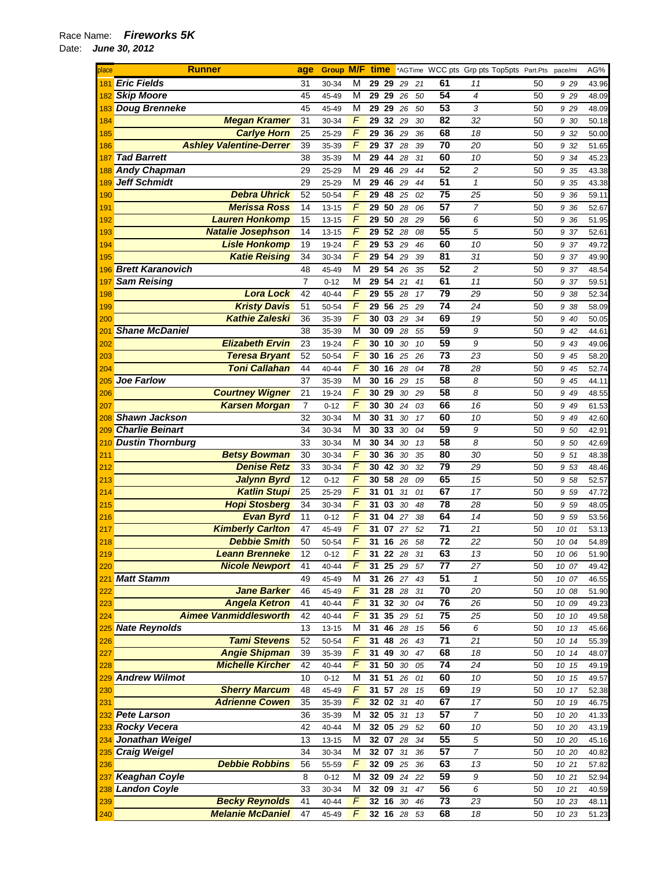| place      | <b>Runner</b>                             | age            | <b>Group M/F</b>  |                | time     |          |          |          |                       | *AGTime WCC pts Grp pts Top5pts Part.Pts |          | pace/mi      | AG%            |
|------------|-------------------------------------------|----------------|-------------------|----------------|----------|----------|----------|----------|-----------------------|------------------------------------------|----------|--------------|----------------|
| 181        | <b>Eric Fields</b>                        | 31             | 30-34             | М              | 29       | 29       | 29       | 21       | 61                    | 11                                       | 50       | 9 29         | 43.96          |
| 182        | <b>Skip Moore</b>                         | 45             | 45-49             | М              | 29       | 29       | 26       | 50       | 54                    | $\overline{4}$                           | 50       | 9 29         | 48.09          |
| 183        | <b>Doug Brenneke</b>                      | 45             | 45-49             | М              | 29       | 29       | 26       | 50       | 53                    | 3                                        | 50       | 9 29         | 48.09          |
| 184        | <b>Megan Kramer</b>                       | 31             | 30-34             | F              | 29       | 32 29    |          | 30       | 82                    | 32                                       | 50       | 9 30         | 50.18          |
| 185        | <b>Carlye Horn</b>                        | 25             | 25-29             | F              | 29       | 36       | 29       | 36       | 68                    | 18                                       | 50       | 9 32         | 50.00          |
| 186        | <b>Ashley Valentine-Derrer</b>            | 39             | 35-39             | F              | 29       | 37       | 28       | 39       | 70                    | 20                                       | 50       | 9 32         | 51.65          |
| 187        | <b>Tad Barrett</b>                        | 38             | 35-39             | М              | 29       | 44       | 28       | 31       | 60                    | 10                                       | 50       | 9 34         | 45.23          |
| 188        | <b>Andy Chapman</b>                       | 29             | 25-29             | М              | 29       | 46       | 29       | 44       | 52                    | 2                                        | 50       | 9 35         | 43.38          |
| 189        | <b>Jeff Schmidt</b>                       | 29             | 25-29             | М              | 29       | 46       | 29       | 44       | 51                    | $\mathbf{1}$                             | 50       | 9 35         | 43.38          |
| 190        | <b>Debra Uhrick</b>                       | 52             | 50-54             | F              | 29       | 48       | 25       | 02       | $\overline{75}$       | 25                                       | 50       | 9 36         | 59.11          |
| 191        | <b>Merissa Ross</b>                       | 14             | $13 - 15$         | F              | 29       | 50       | 28       | 06       | 57                    | $\overline{7}$                           | 50       | 9 36         | 52.67          |
| 192        | <b>Lauren Honkomp</b>                     | 15             | 13-15             | F              | 29       | 50       | 28       | 29       | 56                    | 6                                        | 50       | 9 36         | 51.95          |
| 193        | <b>Natalie Josephson</b>                  | 14             | $13 - 15$         | F              | 29       | 52       | 28       | 08       | 55                    | 5                                        | 50       | 9 37         | 52.61          |
| 194        | <b>Lisle Honkomp</b>                      | 19             | 19-24             | F              | 29       | 53       | 29       | 46       | 60                    | 10                                       | 50       | 9 37         | 49.72          |
| 195        | <b>Katie Reising</b>                      | 34             | 30-34             | $\overline{F}$ | 29       | 54       | 29       | 39       | 81                    | 31                                       | 50       | 9 37         | 49.90          |
| 196        | <b>Brett Karanovich</b>                   | 48             | 45-49             | М              | 29       | 54       | 26       | 35       | 52                    | 2                                        | 50       | 9 37         | 48.54          |
| 197        | <b>Sam Reising</b>                        | $\overline{7}$ | $0 - 12$          | М              | 29       | 54       | 21       | 41       | 61                    | 11                                       | 50       | 9 37         | 59.51          |
| 198        | <b>Lora Lock</b>                          | 42             | 40-44             | F              | 29       | 55       | 28       | 17       | 79                    | 29                                       | 50       | 9 38         | 52.34          |
| 199        | <b>Kristy Davis</b>                       | 51             | 50-54             | F              | 29       | 56       | 25       | 29       | 74                    | 24                                       | 50       | 9 38         | 58.09          |
| 200        | <b>Kathie Zaleski</b>                     | 36             | 35-39             | F              | 30       | 03       | 29       | 34       | 69                    | 19                                       | 50       | 9 40         | 50.05          |
| 201        | <b>Shane McDaniel</b>                     | 38             | 35-39             | М              | 30       | 09       | 28       | 55       | 59                    | 9                                        | 50       | 9 42         | 44.61          |
| 202        | <b>Elizabeth Ervin</b>                    | 23             | 19-24             | F              | 30       | 10       | 30       | 10       | 59                    | 9                                        | 50       | 9 43         | 49.06          |
| 203        | <b>Teresa Bryant</b>                      | 52             | 50-54             | F              | 30       | 16       | 25       | 26       | 73                    | 23                                       | 50       | 9 45         | 58.20          |
| 204        | <b>Toni Callahan</b>                      | 44             | 40-44             | $\overline{F}$ | 30       | 16       | 28       | 04       | 78                    | 28                                       | 50       | 9 45         | 52.74          |
| 205        | <b>Joe Farlow</b>                         | 37             | 35-39             | М              | 30       | 16       | 29       | 15       | 58                    | 8                                        | 50       | 9 45         | 44.11          |
| 206        | <b>Courtney Wigner</b>                    | 21             | 19-24             | F              | 30       | 29       | 30       | 29       | 58                    | 8                                        | 50       | 9 4 9        | 48.55          |
| 207        | <b>Karsen Morgan</b>                      | $\overline{7}$ | $0 - 12$          | F              | 30       | 30       | 24       | 03       | 66                    | 16                                       | 50       | 9 49         | 61.53          |
| 208        | <b>Shawn Jackson</b>                      | 32             | 30-34             | M              | 30       | 31       | 30       | 17       | 60                    | 10                                       | 50       | 9 4 9        | 42.60          |
| 209        | <b>Charlie Beinart</b>                    | 34             | 30-34             | М              | 30       | 33       | 30       | 04       | 59                    | 9                                        | 50       | 9 50         | 42.91          |
| 210        | <b>Dustin Thornburg</b>                   | 33             | 30-34             | М<br>F         | 30       | 34       | 30       | 13       | 58                    | 8                                        | 50       | 9 50         | 42.69          |
| 211        | <b>Betsy Bowman</b><br><b>Denise Retz</b> | 30<br>33       | 30-34             | F              | 30<br>30 | 36<br>42 | 30       | 35       | 80<br>$\overline{79}$ | 30<br>29                                 | 50<br>50 | 9 51         | 48.38          |
| 212        | <b>Jalynn Byrd</b>                        | 12             | 30-34<br>$0 - 12$ | F              | 30       | 58       | 30<br>28 | 32<br>09 | 65                    | 15                                       | 50       | 9 53<br>9 58 | 48.46          |
| 213<br>214 | <b>Katlin Stupi</b>                       | 25             | 25-29             | F              | 31       | 01       | 31       | 01       | 67                    | 17                                       | 50       | 9 59         | 52.57<br>47.72 |
| 215        | <b>Hopi Stosberg</b>                      | 34             | 30-34             | F              | 31       | 03       | 30       | 48       | 78                    | 28                                       | 50       | 9 59         | 48.05          |
| 216        | <b>Evan Byrd</b>                          | 11             | $0 - 12$          | F              | 31       | 04       | 27       | 38       | 64                    | 14                                       | 50       | 9 59         | 53.56          |
| 217        | <b>Kimberly Carlton</b>                   | 47             | 45-49             | F              | 31       | 07       | 27       | 52       | 71                    | 21                                       | 50       | 10<br>01     | 53.13          |
| 218        | <b>Debbie Smith</b>                       | 50             | 50-54             | F              | 31       | 16       | 26       | 58       | 72                    | 22                                       | 50       | 10 04        | 54.89          |
| 219        | <b>Leann Brenneke</b>                     | 12             | $0 - 12$          | F              | 31       | 22       | 28       | 31       | 63                    | 13                                       | 50       | 10 06        | 51.90          |
| 220        | <b>Nicole Newport</b>                     | 41             | 40-44             | F              | 31       | 25 29    |          | 57       | $\overline{77}$       | 27                                       | 50       | 10 07        | 49.42          |
| 221        | <b>Matt Stamm</b>                         | 49             | 45-49             | М              | 31       | 26 27    |          | 43       | 51                    | 1                                        | 50       | 10 07        | 46.55          |
| 222        | <b>Jane Barker</b>                        | 46             | 45-49             | F              | 31       | 28       | 28       | 31       | 70                    | 20                                       | 50       | 10 08        | 51.90          |
| 223        | <b>Angela Ketron</b>                      | 41             | 40-44             | $\overline{F}$ | 31       | 32       | 30       | 04       | 76                    | 26                                       | 50       | 10 09        | 49.23          |
| 224        | <b>Aimee Vanmiddlesworth</b>              | 42             | 40-44             | $\overline{F}$ | 31       | 35       | 29       | 51       | 75                    | 25                                       | 50       | 10 10        | 49.58          |
| 225        | <b>Nate Reynolds</b>                      | 13             | $13 - 15$         | М              | 31       | 46 28    |          | 15       | 56                    | 6                                        | 50       | 10 13        | 45.66          |
| 226        | <b>Tami Stevens</b>                       | 52             | 50-54             | F              |          | 31 48 26 |          | 43       | $\overline{71}$       | 21                                       | 50       | 10 14        | 55.39          |
| 227        | <b>Angie Shipman</b>                      | 39             | 35-39             | F              |          | 31 49    | 30       | 47       | 68                    | 18                                       | 50       | 10 14        | 48.07          |
| 228        | <b>Michelle Kircher</b>                   | 42             | 40-44             | F              |          | 31 50    | 30       | 05       | 74                    | 24                                       | 50       | 10 15        | 49.19          |
| 229        | <b>Andrew Wilmot</b>                      | 10             | $0 - 12$          | М              | 31 51    |          | 26       | 01       | 60                    | 10                                       | 50       | 10 15        | 49.57          |
| 230        | <b>Sherry Marcum</b>                      | 48             | 45-49             | F              | 31       | 57       | 28       | 15       | 69                    | 19                                       | 50       | 10 17        | 52.38          |
| 231        | <b>Adrienne Cowen</b>                     | 35             | 35-39             | F              |          | 32 02    | 31       | 40       | 67                    | 17                                       | 50       | 10 19        | 46.75          |
| 232        | <b>Pete Larson</b>                        | 36             | 35-39             | M              |          | 32 05    | 31       | 13       | 57                    | $\overline{7}$                           | 50       | 10 20        | 41.33          |
|            | 233 Rocky Vecera                          | 42             | 40-44             | М              |          | 32 05    | 29       | 52       | 60                    | 10                                       | 50       | 10 20        | 43.19          |
| 234        | Jonathan Weigel                           | 13             | $13 - 15$         | М              |          | 32 07 28 |          | 34       | 55                    | 5                                        | 50       | 10 20        | 45.16          |
| 235        | <b>Craig Weigel</b>                       | 34             | 30-34             | М              |          | 32 07 31 |          | 36       | 57                    | $\boldsymbol{7}$                         | 50       | 10 20        | 40.82          |
| 236        | <b>Debbie Robbins</b>                     | 56             | 55-59             | F              |          | 32 09 25 |          | 36       | 63                    | 13                                       | 50       | 10 21        | 57.82          |
| 237        | <b>Keaghan Coyle</b>                      | 8              | $0 - 12$          | М              |          | 32 09 24 |          | 22       | 59                    | 9                                        | 50       | 10 21        | 52.94          |
|            | 238 Landon Coyle                          | 33             | 30-34             | М              |          | 32 09 31 |          | 47       | 56                    | 6                                        | 50       | 10 21        | 40.59          |
| 239        | <b>Becky Reynolds</b>                     | 41             | 40-44             | F              |          | 32 16 30 |          | 46       | $\overline{73}$       | 23                                       | 50       | 10 23        | 48.11          |
| 240        | <b>Melanie McDaniel</b>                   | 47             | 45-49             | F              |          | 32 16 28 |          | 53       | 68                    | 18                                       | 50       | 10 23        | 51.23          |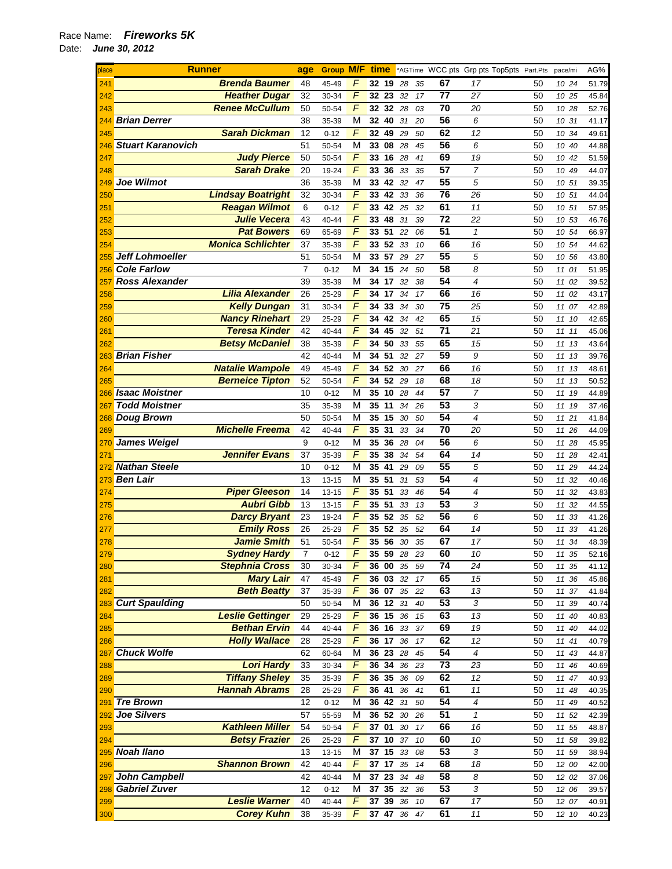| place<br>241 | <b>Runner</b>            |                | <b>Group M/F time</b> |                     |                 |    |    |      |                 | *AGTime WCC pts Grp pts Top5pts Part.Pts |    | pace/mi  | AG%   |
|--------------|--------------------------|----------------|-----------------------|---------------------|-----------------|----|----|------|-----------------|------------------------------------------|----|----------|-------|
|              | <b>Brenda Baumer</b>     | 48             | 45-49                 | F                   | 32 19           |    | 28 | 35   | 67              | 17                                       | 50 | 10 24    | 51.79 |
| 242          | <b>Heather Dugar</b>     | 32             | 30-34                 | $\sqrt{2}$          | 32 23           |    | 32 | 17   | 77              | 27                                       | 50 | 10 25    | 45.84 |
| 243          | <b>Renee McCullum</b>    | 50             | 50-54                 | $\overline{F}$      | 32 32           |    | 28 | 03   | 70              | 20                                       | 50 | 10 28    | 52.76 |
| 244          | <b>Brian Derrer</b>      | 38             | 35-39                 | М                   | 32              | 40 | 31 | 20   | 56              | 6                                        | 50 | 10 31    | 41.17 |
| 245          | <b>Sarah Dickman</b>     | 12             | $0 - 12$              | F                   | 32              | 49 | 29 | 50   | 62              | 12                                       | 50 | 10 34    | 49.61 |
| 246          | <b>Stuart Karanovich</b> | 51             | 50-54                 | M                   | 33 08           |    | 28 | 45   | 56              | 6                                        | 50 | 10 40    | 44.88 |
| 247          | <b>Judy Pierce</b>       | 50             | 50-54                 | F                   | 33              | 16 | 28 | 41   | 69              | 19                                       | 50 | 10 42    | 51.59 |
| 248          | <b>Sarah Drake</b>       | 20             | 19-24                 | $\sqrt{2}$          | 33 36           |    | 33 | 35   | $\overline{57}$ | $\overline{7}$                           | 50 | 10 49    | 44.07 |
|              | 249 Joe Wilmot           | 36             | 35-39                 | M                   | 33              | 42 | 32 | 47   | 55              | 5                                        | 50 | 10 51    |       |
|              | <b>Lindsay Boatright</b> |                |                       | $\overline{F}$      |                 |    |    |      | 76              |                                          |    |          | 39.35 |
| 250          |                          | 32             | 30-34                 |                     | 33 42           |    | 33 | 36   |                 | 26                                       | 50 | 10 51    | 44.04 |
| 251          | <b>Reagan Wilmot</b>     | 6              | $0 - 12$              | $\overline{F}$      | 33 42 25        |    |    | 32   | 61              | 11                                       | 50 | 10 51    | 57.95 |
| 252          | <b>Julie Vecera</b>      | 43             | 40-44                 | $\overline{F}$      | 33              | 48 | 31 | 39   | 72              | 22                                       | 50 | 10 53    | 46.76 |
| 253          | <b>Pat Bowers</b>        | 69             | 65-69                 | F                   | 33              | 51 | 22 | 06   | 51              | $\mathbf{1}$                             | 50 | 10 54    | 66.97 |
| 254          | <b>Monica Schlichter</b> | 37             | 35-39                 | F                   | 33 52           |    | 33 | 10   | 66              | 16                                       | 50 | 10 54    | 44.62 |
| 255          | Jeff Lohmoeller          | 51             | 50-54                 | M                   | 33 57 29        |    |    | 27   | 55              | 5                                        | 50 | 10 56    | 43.80 |
| 256          | <b>Cole Farlow</b>       | $\overline{7}$ | $0 - 12$              | М                   | 34 15           |    | 24 | 50   | 58              | 8                                        | 50 | 11 01    | 51.95 |
| 257          | <b>Ross Alexander</b>    | 39             | 35-39                 | M                   | 34 17           |    | 32 | 38   | 54              | $\overline{\mathcal{A}}$                 | 50 | 11 02    | 39.52 |
| 258          | <b>Lilia Alexander</b>   | 26             | 25-29                 | $\sqrt{F}$          | 34              | 17 | 34 | 17   | 66              | 16                                       | 50 | 11 02    | 43.17 |
| 259          | <b>Kelly Dungan</b>      | 31             | 30-34                 | $\sqrt{2}$          | 34              | 33 | 34 | 30   | 75              | 25                                       | 50 | 11 07    | 42.89 |
| 260          | <b>Nancy Rinehart</b>    | 29             | 25-29                 | $\sqrt{F}$          | 34 42           |    | 34 | 42   | 65              | 15                                       | 50 | 11 10    | 42.65 |
| 261          | <b>Teresa Kinder</b>     | 42             | 40-44                 | F                   | 34              | 45 | 32 | 51   | $\overline{71}$ | 21                                       | 50 | 1111     | 45.06 |
| 262          | <b>Betsy McDaniel</b>    | 38             | 35-39                 | $\overline{F}$      | 34              | 50 | 33 | 55   | 65              | 15                                       | 50 | 11 13    | 43.64 |
| 263          | <b>Brian Fisher</b>      | 42             | 40-44                 | М                   | 34 51           |    | 32 | 27   | 59              | 9                                        | 50 | 11 13    | 39.76 |
| 264          | <b>Natalie Wampole</b>   | 49             | 45-49                 | F                   | 34              | 52 | 30 | 27   | 66              | 16                                       | 50 | 11 13    | 48.61 |
| 265          | <b>Berneice Tipton</b>   | 52             | 50-54                 | $\sqrt{2}$          | 34 52 29        |    |    | 18   | 68              | 18                                       | 50 | 11 13    | 50.52 |
|              | 266 Isaac Moistner       | 10             | $0 - 12$              | M                   | 35              | 10 | 28 | 44   | 57              | $\overline{7}$                           | 50 | 11 19    | 44.89 |
| 267          | <b>Todd Moistner</b>     | 35             | 35-39                 | M                   | 35 11           |    | 34 | 26   | 53              | 3                                        | 50 | 11 19    | 37.46 |
|              | 268 Doug Brown           | 50             | 50-54                 | M                   | 35              | 15 | 30 | 50   | 54              | $\overline{4}$                           | 50 | 11 21    | 41.84 |
| 269          | <b>Michelle Freema</b>   | 42             | 40-44                 | $\sqrt{F}$          | 35              | 31 | 33 | 34   | 70              | 20                                       | 50 | 11 26    | 44.09 |
| 270          | James Weigel             | 9              | $0 - 12$              | М                   | 35              | 36 | 28 | 04   | 56              | 6                                        | 50 | 11 28    | 45.95 |
| 271          | <b>Jennifer Evans</b>    | 37             | 35-39                 | $\sqrt{F}$          | 35 38           |    | 34 | 54   | 64              | 14                                       | 50 | 11 28    | 42.41 |
|              | 272 Nathan Steele        | 10             |                       | M                   | 35 41           |    |    |      | 55              | 5                                        | 50 |          |       |
|              | 273 Ben Lair             |                | $0 - 12$              |                     | 35 51           |    | 29 | 09   | 54              | $\overline{\mathcal{A}}$                 |    | 11 29    | 44.24 |
|              |                          | 13             | $13 - 15$             | M<br>$\overline{F}$ |                 |    | 31 | 53   | 54              |                                          | 50 | 11 32    | 40.46 |
| 274          | <b>Piper Gleeson</b>     | 14             | $13 - 15$             | $\overline{F}$      | 35 51           |    | 33 | 46   |                 | $\overline{\mathcal{A}}$                 | 50 | 11 32    | 43.83 |
| 275          | <b>Aubri Gibb</b>        | 13             | 13-15                 |                     | 35 51           |    | 33 | 13   | 53              | 3                                        | 50 | 11 32    | 44.55 |
| 276          | <b>Darcy Bryant</b>      | 23             | 19-24                 | $\sqrt{2}$          | 35              | 52 | 35 | 52   | 56              | 6                                        | 50 | 11 33    | 41.26 |
| 277          | <b>Emily Ross</b>        | 26             | 25-29                 | $\sqrt{F}$          | 35              | 52 | 35 | 52   | 64              | 14                                       | 50 | 11<br>33 | 41.26 |
| 278          | <b>Jamie Smith</b>       | 51             | 50-54                 | F                   | 35              | 56 | 30 | 35   | 67              | 17                                       | 50 | 11<br>34 | 48.39 |
| 279          | <b>Sydney Hardy</b>      | 7              | $0 - 12$              | F                   | 35 59           |    | 28 | 23   | 60              | 10                                       | 50 | 11<br>35 | 52.16 |
| 280          | <b>Stephnia Cross</b>    | 30             | 30-34                 | F                   | <b>36 00 35</b> |    |    | - 59 | 74              | 24                                       | 50 | 11 35    | 41.12 |
| 281          | <b>Mary Lair</b>         | 47             | 45-49                 | F                   | 36 03           |    | 32 | 17   | 65              | 15                                       | 50 | 11 36    | 45.86 |
| 282          | <b>Beth Beatty</b>       | 37             | 35-39                 | F                   | 36 07           |    | 35 | 22   | 63              | 13                                       | 50 | 11 37    | 41.84 |
|              | 283 Curt Spaulding       | 50             | 50-54                 | M                   | 36 12           |    | 31 | 40   | 53              | 3                                        | 50 | 11 39    | 40.74 |
| 284          | <b>Leslie Gettinger</b>  | 29             | 25-29                 | $\overline{F}$      | 36 15           |    | 36 | 15   | 63              | 13                                       | 50 | 11 40    | 40.83 |
| 285          | <b>Bethan Ervin</b>      | 44             | 40-44                 | $\sqrt{2}$          | $36$ 16 33      |    |    | 37   | 69              | 19                                       | 50 | 11 40    | 44.02 |
| 286          | <b>Holly Wallace</b>     | 28             | 25-29                 | F                   | $36$ 17         |    | 36 | 17   | 62              | 12                                       | 50 | 11 41    | 40.79 |
| 287          | <b>Chuck Wolfe</b>       | 62             | 60-64                 | M                   | 36 23           |    | 28 | 45   | 54              | 4                                        | 50 | 11 43    | 44.87 |
| 288          | <b>Lori Hardy</b>        | 33             | 30-34                 | F                   | 36 34           |    | 36 | 23   | $\overline{73}$ | 23                                       | 50 | 11 46    | 40.69 |
| 289          | <b>Tiffany Sheley</b>    | 35             | 35-39                 | $\overline{F}$      | 36 35           |    | 36 | 09   | 62              | 12                                       | 50 | 11 47    | 40.93 |
| 290          | <b>Hannah Abrams</b>     | 28             | 25-29                 | $\sqrt{2}$          | 36 41           |    | 36 | 41   | 61              | 11                                       | 50 | 11<br>48 | 40.35 |
| 291          | <b>Tre Brown</b>         | 12             | $0 - 12$              | M                   | 36 42           |    | 31 | 50   | 54              | 4                                        | 50 | 11 49    | 40.52 |
| 292          | Joe Silvers              | 57             | 55-59                 | M                   | 36 52           |    | 30 | 26   | 51              | $\mathbf{1}$                             | 50 | 11 52    | 42.39 |
| 293          | <b>Kathleen Miller</b>   | 54             | 50-54                 | F                   | 37 01           |    | 30 | 17   | 66              | 16                                       | 50 | 11 55    | 48.87 |
| 294          | <b>Betsy Frazier</b>     | 26             | 25-29                 | F                   | 37 10           |    | 37 | 10   | 60              | 10                                       | 50 | 11 58    | 39.82 |
|              | 295 Noah Ilano           | 13             | 13-15                 | М                   | 37 15           |    | 33 | 08   | 53              | 3                                        | 50 | 11 59    | 38.94 |
| 296          | <b>Shannon Brown</b>     | 42             | 40-44                 | F                   | 37 17           |    | 35 | 14   | 68              | 18                                       | 50 | 12 00    | 42.00 |
| 297          | John Campbell            | 42             | 40-44                 | M                   | 37 23           |    | 34 | 48   | 58              | 8                                        | 50 | 12 02    | 37.06 |
|              | 298 Gabriel Zuver        | 12             | $0 - 12$              | M                   | 37 35           |    | 32 | 36   | 53              | 3                                        | 50 | 12 06    | 39.57 |
| 299          | <b>Leslie Warner</b>     | 40             | 40-44                 | F                   | 37              | 39 | 36 | 10   | 67              | 17                                       | 50 | 12 07    | 40.91 |
| 300          | <b>Corey Kuhn</b>        | 38             | 35-39                 | F                   | 37 47           |    | 36 | 47   | 61              | 11                                       | 50 | 12 10    | 40.23 |
|              |                          |                |                       |                     |                 |    |    |      |                 |                                          |    |          |       |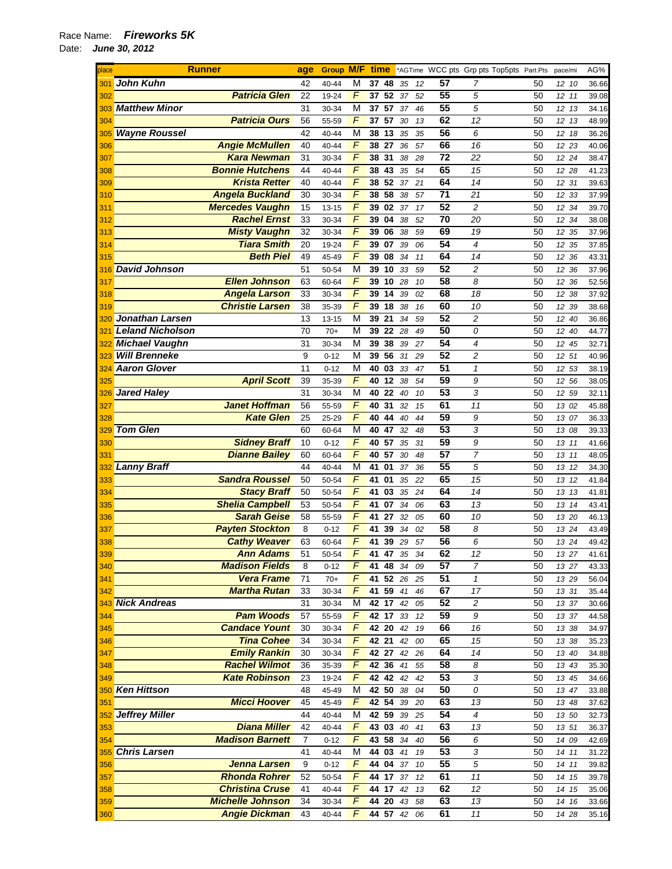| place | <b>Runner</b>           |                         | age            | <b>Group M/F</b> |                | time        |    |    |    | *AGTime WCC pts Grp pts Top5pts Part.Pts |                |    | pace/mi |    | AG%   |
|-------|-------------------------|-------------------------|----------------|------------------|----------------|-------------|----|----|----|------------------------------------------|----------------|----|---------|----|-------|
| 301   | <b>John Kuhn</b>        |                         | 42             | 40-44            | М              | 37          | 48 | 35 | 12 | 57                                       | 7              | 50 | 12 10   |    | 36.66 |
| 302   |                         | <b>Patricia Glen</b>    | 22             | 19-24            | $\overline{F}$ | 37          | 52 | 37 | 52 | 55                                       | 5              | 50 | 12, 11  |    | 39.08 |
| 303   | <b>Matthew Minor</b>    |                         | 31             | 30-34            | M              | 37 57       |    | 37 | 46 | 55                                       | 5              | 50 | 12 13   |    | 34.16 |
| 304   |                         | <b>Patricia Ours</b>    | 56             | 55-59            | $\overline{F}$ | 37          | 57 | 30 | 13 | 62                                       | 12             | 50 | 12 13   |    | 48.99 |
| 305   | <b>Wayne Roussel</b>    |                         | 42             | 40-44            | M              | 38          | 13 | 35 | 35 | 56                                       | 6              | 50 | 12 18   |    | 36.26 |
| 306   |                         | <b>Angie McMullen</b>   | 40             | 40-44            | F              | 38          | 27 | 36 | 57 | 66                                       | 16             | 50 | 12 23   |    | 40.06 |
| 307   |                         | <b>Kara Newman</b>      | 31             | 30-34            | F              | 38 31       |    | 38 | 28 | 72                                       | 22             | 50 | 12 24   |    | 38.47 |
| 308   |                         | <b>Bonnie Hutchens</b>  | 44             | 40-44            | $\overline{F}$ | 38          | 43 | 35 | 54 | 65                                       | 15             | 50 | 12 28   |    | 41.23 |
| 309   |                         | <b>Krista Retter</b>    | 40             | 40-44            | F              | 38 52       |    | 37 | 21 | 64                                       | 14             | 50 | 12 31   |    | 39.63 |
| 310   |                         | <b>Angela Buckland</b>  | 30             | 30-34            | F              | 38          | 58 | 38 | 57 | $\overline{71}$                          | 21             | 50 | 12      | 33 | 37.99 |
| 311   |                         | <b>Mercedes Vaughn</b>  | 15             | $13 - 15$        | $\overline{F}$ | 39          | 02 | 37 | 17 | 52                                       | 2              | 50 | 12 34   |    | 39.70 |
| 312   |                         | <b>Rachel Ernst</b>     | 33             | 30-34            | $\overline{F}$ | 39          | 04 | 38 | 52 | $\overline{70}$                          | 20             | 50 | 12 34   |    | 38.08 |
| 313   |                         | <b>Misty Vaughn</b>     | 32             | 30-34            | $\sqrt{2}$     | 39          | 06 | 38 | 59 | 69                                       | 19             | 50 | 12 35   |    | 37.96 |
| 314   |                         | <b>Tiara Smith</b>      | 20             | 19-24            | F              | 39          | 07 | 39 | 06 | 54                                       | 4              | 50 | 12 35   |    | 37.85 |
|       |                         | <b>Beth Piel</b>        | 49             |                  | F              |             | 08 |    |    | 64                                       | 14             |    |         |    |       |
| 315   |                         |                         | 51             | 45-49            | M              | 39          |    | 34 | 11 | 52                                       | 2              | 50 | 12 36   |    | 43.31 |
| 316   | <b>David Johnson</b>    | <b>Ellen Johnson</b>    |                | 50-54            | F              | 39          | 10 | 33 | 59 | 58                                       | 8              | 50 | 12 36   |    | 37.96 |
| 317   |                         |                         | 63             | 60-64            | F              | 39          | 10 | 28 | 10 |                                          |                | 50 | 12 36   |    | 52.56 |
| 318   |                         | <b>Angela Larson</b>    | 33             | 30-34            |                | 39          | 14 | 39 | 02 | 68                                       | 18             | 50 | 12 38   |    | 37.92 |
| 319   |                         | <b>Christie Larsen</b>  | 38             | 35-39            | $\sqrt{2}$     | 39          | 18 | 38 | 16 | 60                                       | 10             | 50 | 12 39   |    | 38.68 |
| 320   | <b>Jonathan Larsen</b>  |                         | 13             | $13 - 15$        | M              | 39          | 21 | 34 | 59 | 52                                       | 2              | 50 | 12 40   |    | 36.86 |
| 321   | <b>Leland Nicholson</b> |                         | 70             | $70+$            | M              | 39          | 22 | 28 | 49 | 50                                       | 0              | 50 | 12 40   |    | 44.77 |
|       | <b>Michael Vaughn</b>   |                         | 31             | 30-34            | M              | 39          | 38 | 39 | 27 | 54                                       | 4              | 50 | 12 45   |    | 32.71 |
| 323   | <b>Will Brenneke</b>    |                         | 9              | $0 - 12$         | M              | 39          | 56 | 31 | 29 | 52                                       | 2              | 50 | 12 51   |    | 40.96 |
| 324   | <b>Aaron Glover</b>     |                         | 11             | $0 - 12$         | M              | 40          | 03 | 33 | 47 | 51                                       | $\mathcal I$   | 50 | 12 53   |    | 38.19 |
| 325   |                         | <b>April Scott</b>      | 39             | 35-39            | $\overline{F}$ | 40          | 12 | 38 | 54 | 59                                       | 9              | 50 | 12 56   |    | 38.05 |
| 326   | <b>Jared Haley</b>      |                         | 31             | 30-34            | M              | 40          | 22 | 40 | 10 | 53                                       | 3              | 50 | 12 59   |    | 32.11 |
| 327   |                         | <b>Janet Hoffman</b>    | 56             | 55-59            | $\overline{F}$ | 40          | 31 | 32 | 15 | 61                                       | 11             | 50 | 13 02   |    | 45.88 |
| 328   |                         | <b>Kate Glen</b>        | 25             | 25-29            | $\sqrt{F}$     | 40          | 44 | 40 | 44 | 59                                       | 9              | 50 | 13 07   |    | 36.33 |
| 329   | <b>Tom Glen</b>         |                         | 60             | 60-64            | M              | 40          | 47 | 32 | 48 | 53                                       | 3              | 50 | 13 08   |    | 39.33 |
| 330   |                         | <b>Sidney Braff</b>     | 10             | $0 - 12$         | F              | 40          | 57 | 35 | 31 | 59                                       | 9              | 50 | 13 11   |    | 41.66 |
| 331   |                         | <b>Dianne Bailey</b>    | 60             | 60-64            | F              | 40          | 57 | 30 | 48 | 57                                       | 7              | 50 | 13 11   |    | 48.05 |
| 332   | <b>Lanny Braff</b>      |                         | 44             | 40-44            | М              | 41          | 01 | 37 | 36 | 55                                       | 5              | 50 | 13 12   |    | 34.30 |
| 333   |                         | <b>Sandra Roussel</b>   | 50             | 50-54            | $\overline{F}$ | 41          | 01 | 35 | 22 | 65                                       | 15             | 50 | 13 12   |    | 41.84 |
| 334   |                         | <b>Stacy Braff</b>      | 50             | 50-54            | $\overline{F}$ | 41          | 03 | 35 | 24 | 64                                       | 14             | 50 | 13 13   |    | 41.81 |
| 335   |                         | <b>Shelia Campbell</b>  | 53             | 50-54            | F              | 41          | 07 | 34 | 06 | 63                                       | 13             | 50 | 13 14   |    | 43.41 |
| 336   |                         | <b>Sarah Geise</b>      | 58             | 55-59            | $\sqrt{2}$     | 41          | 27 | 32 | 05 | 60                                       | 10             | 50 | 13 20   |    | 46.13 |
| 337   |                         | <b>Payten Stockton</b>  | 8              | $0 - 12$         | $\sqrt{2}$     | 41          | 39 | 34 | 02 | 58                                       | 8              | 50 | 13 24   |    | 43.49 |
| 338   |                         | <b>Cathy Weaver</b>     | 63             | 60-64            | F              | 41          | 39 | 29 | 57 | 56                                       | 6              | 50 | 13 24   |    | 49.42 |
| 339   |                         | Ann Adams               | 51             | 50-54            | F              | 41          | 47 | 35 | 34 | 62                                       | 12             | 50 | 13 27   |    | 41.61 |
| 340   |                         | <b>Madison Fields</b>   | 8              | $0 - 12$         | F              | 41 48       |    | 34 | 09 | 57                                       | 7              | 50 | 13 27   |    | 43.33 |
| 341   |                         | <b>Vera Frame</b>       | 71             | $70+$            | F              | 41 52 26 25 |    |    |    | 51                                       | $\mathbf{1}$   | 50 | 13 29   |    | 56.04 |
| 342   |                         | <b>Martha Rutan</b>     | 33             | 30-34            | F              | 41 59 41    |    |    | 46 | 67                                       | 17             | 50 | 13 31   |    | 35.44 |
|       | 343 Nick Andreas        |                         | 31             | 30-34            | M              | 42 17       |    | 42 | 05 | 52                                       | $\overline{c}$ | 50 | 13 37   |    | 30.66 |
| 344   |                         | <b>Pam Woods</b>        | 57             | 55-59            | F              | 42 17       |    | 33 | 12 | 59                                       | 9              | 50 | 13 37   |    | 44.58 |
| 345   |                         | <b>Candace Yount</b>    | 30             | 30-34            | F              | 42 20       |    | 42 | 19 | 66                                       | 16             | 50 | 13 38   |    | 34.97 |
| 346   |                         | <b>Tina Cohee</b>       | 34             | 30-34            | F              | 42 21       |    | 42 | 00 | 65                                       | 15             | 50 | 13 38   |    | 35.23 |
| 347   |                         | <b>Emily Rankin</b>     | 30             | 30-34            | F              | 42 27       |    | 42 | 26 | 64                                       | 14             | 50 | 13 40   |    | 34.88 |
|       |                         | <b>Rachel Wilmot</b>    | 36             | 35-39            | F              | 42 36       |    | 41 |    | 58                                       | 8              | 50 | 13 43   |    |       |
| 348   |                         | <b>Kate Robinson</b>    |                |                  | F              |             |    |    | 55 | 53                                       | 3              |    |         |    | 35.30 |
| 349   |                         |                         | 23             | 19-24            |                | 42 42 42    |    |    | 42 | 50                                       |                | 50 | 13 45   |    | 34.66 |
|       | 350 Ken Hittson         |                         | 48             | 45-49            | M              | 42 50       |    | 38 | 04 |                                          | 0              | 50 | 13 47   |    | 33.88 |
| 351   |                         | <b>Micci Hoover</b>     | 45             | 45-49            | F              | 42 54       |    | 39 | 20 | 63                                       | 13             | 50 | 13 48   |    | 37.62 |
|       | 352 Jeffrey Miller      |                         | 44             | 40-44            | M              | 42 59       |    | 39 | 25 | 54                                       | 4              | 50 | 13 50   |    | 32.73 |
| 353   |                         | <b>Diana Miller</b>     | 42             | 40-44            | F              | 43 03 40    |    |    | 41 | 63                                       | 13             | 50 | 13 51   |    | 36.37 |
| 354   |                         | <b>Madison Barnett</b>  | $\overline{7}$ | $0 - 12$         | F              | 43 58       |    | 34 | 40 | 56                                       | 6              | 50 | 14 09   |    | 42.69 |
|       | 355 Chris Larsen        |                         | 41             | 40-44            | М              | 44 03       |    | 41 | 19 | 53                                       | 3              | 50 | 14 11   |    | 31.22 |
| 356   |                         | <b>Jenna Larsen</b>     | 9              | $0 - 12$         | F              | 44 04       |    | 37 | 10 | 55                                       | 5              | 50 | 14 11   |    | 39.82 |
| 357   |                         | <b>Rhonda Rohrer</b>    | 52             | 50-54            | F              | 44 17 37    |    |    | 12 | 61                                       | 11             | 50 | 14 15   |    | 39.78 |
| 358   |                         | <b>Christina Cruse</b>  | 41             | 40-44            | F              | 44 17       |    | 42 | 13 | 62                                       | 12             | 50 | 14 15   |    | 35.06 |
| 359   |                         | <b>Michelle Johnson</b> | 34             | 30-34            | F              | 44 20       |    | 43 | 58 | 63                                       | 13             | 50 | 14 16   |    | 33.66 |
| 360   |                         | <b>Angie Dickman</b>    | 43             | 40-44            | F              | 44 57 42    |    |    | 06 | 61                                       | 11             | 50 | 14 28   |    | 35.16 |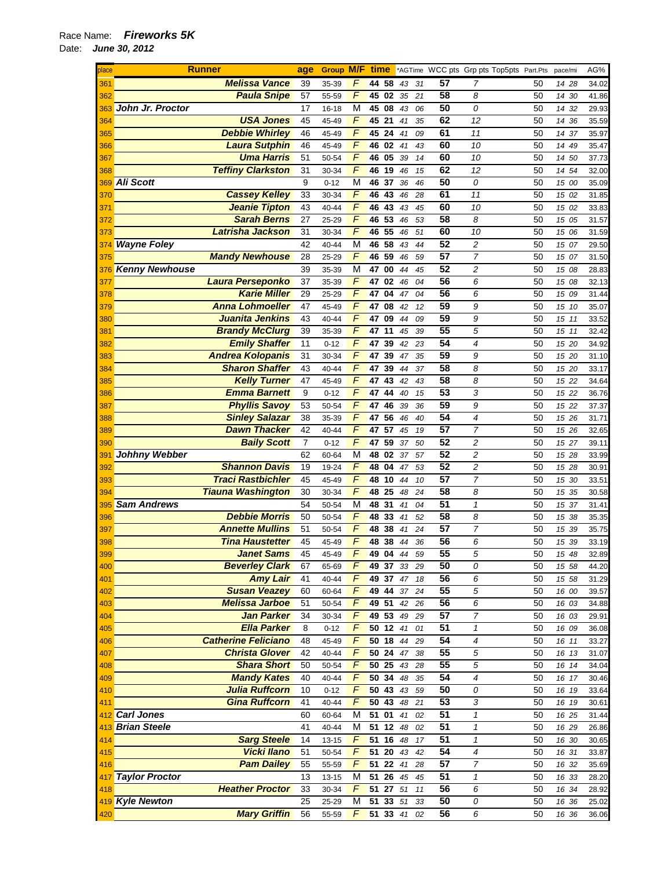| place | <b>Runner</b>              |    | <b>Group M/F time</b> |                |             |                                    |    |    |                 | *AGTime WCC pts Grp pts Top5pts Part.Pts |    | pace/mi | AG%   |
|-------|----------------------------|----|-----------------------|----------------|-------------|------------------------------------|----|----|-----------------|------------------------------------------|----|---------|-------|
| 361   | <b>Melissa Vance</b>       | 39 | 35-39                 | F              | 44          | 58                                 | 43 | 31 | 57              | 7                                        | 50 | 14 28   | 34.02 |
| 362   | <b>Paula Snipe</b>         | 57 | 55-59                 | $\sqrt{2}$     | 45 02       |                                    | 35 | 21 | 58              | 8                                        | 50 | 14 30   | 41.86 |
| 363   | John Jr. Proctor           | 17 | 16-18                 | M              | 45 08       |                                    | 43 | 06 | 50              | 0                                        | 50 | 14 32   | 29.93 |
| 364   | <b>USA Jones</b>           | 45 | 45-49                 | F              | 45 21       |                                    | 41 | 35 | 62              | 12                                       | 50 | 14 36   | 35.59 |
| 365   | <b>Debbie Whirley</b>      | 46 | 45-49                 | F              | 45          | 24                                 | 41 | 09 | 61              | 11                                       | 50 | 14 37   | 35.97 |
| 366   | <b>Laura Sutphin</b>       | 46 | 45-49                 | F              | 46 02       |                                    | 41 | 43 | 60              | 10                                       | 50 | 14 49   | 35.47 |
| 367   | <b>Uma Harris</b>          | 51 | 50-54                 | F              | 46          | $\overline{\overline{\mathbf{0}}}$ | 39 | 14 | 60              | 10                                       | 50 | 14 50   | 37.73 |
| 368   | <b>Teffiny Clarkston</b>   | 31 | 30-34                 | F              | 46          | 19                                 | 46 | 15 | 62              | 12                                       | 50 | 14 54   | 32.00 |
|       | 369 Ali Scott              | 9  | $0 - 12$              | M              | 46          | 37                                 | 36 | 46 | 50              | 0                                        | 50 | 15 00   | 35.09 |
| 370   | <b>Cassey Kelley</b>       | 33 | 30-34                 | $\overline{F}$ | 46          | 43                                 | 46 | 28 | 61              | 11                                       | 50 | 15 02   | 31.85 |
|       | <b>Jeanie Tipton</b>       | 43 |                       | F              | 46          | 43                                 |    | 45 | 60              | 10                                       | 50 |         |       |
| 371   |                            |    | 40-44                 |                |             |                                    | 43 |    |                 |                                          |    | 15 02   | 33.83 |
| 372   | <b>Sarah Berns</b>         | 27 | 25-29                 | F              | 46          | 53                                 | 46 | 53 | 58              | 8                                        | 50 | 15 05   | 31.57 |
| 373   | Latrisha Jackson           | 31 | 30-34                 | F              | 46 55       |                                    | 46 | 51 | 60              | 10                                       | 50 | 15 06   | 31.59 |
| 374   | <b>Wayne Foley</b>         | 42 | 40-44                 | M              | 46 58       |                                    | 43 | 44 | 52              | 2                                        | 50 | 15 07   | 29.50 |
| 375   | <b>Mandy Newhouse</b>      | 28 | 25-29                 | F              | 46 59       |                                    | 46 | 59 | 57              | $\overline{7}$                           | 50 | 15 07   | 31.50 |
|       | 376 Kenny Newhouse         | 39 | 35-39                 | M              | 47 00       |                                    | 44 | 45 | 52              | $\overline{c}$                           | 50 | 15 08   | 28.83 |
| 377   | <b>Laura Perseponko</b>    | 37 | 35-39                 | F              | 47          | 02                                 | 46 | 04 | 56              | 6                                        | 50 | 15 08   | 32.13 |
| 378   | <b>Karie Miller</b>        | 29 | 25-29                 | $\sqrt{F}$     | 47 04       |                                    | 47 | 04 | 56              | 6                                        | 50 | 15 09   | 31.44 |
| 379   | <b>Anna Lohmoeller</b>     | 47 | 45-49                 | $\sqrt{F}$     | 47          | $\overline{0}8$                    | 42 | 12 | 59              | 9                                        | 50 | 15 10   | 35.07 |
| 380   | Juanita Jenkins            | 43 | $40 - 44$             | F              | 47 09       |                                    | 44 | 09 | 59              | 9                                        | 50 | 15 11   | 33.52 |
| 381   | <b>Brandy McClurg</b>      | 39 | 35-39                 | F              | 47          | 11                                 | 45 | 39 | 55              | 5                                        | 50 | 15 11   | 32.42 |
| 382   | <b>Emily Shaffer</b>       | 11 | $0 - 12$              | F              | 47          | 39                                 | 42 | 23 | 54              | $\overline{4}$                           | 50 | 15 20   | 34.92 |
| 383   | <b>Andrea Kolopanis</b>    | 31 | 30-34                 | F              | 47          | 39                                 | 47 | 35 | 59              | 9                                        | 50 | 15 20   | 31.10 |
| 384   | <b>Sharon Shaffer</b>      | 43 | 40-44                 | F              | 47          | 39                                 | 44 | 37 | 58              | 8                                        | 50 | 15 20   | 33.17 |
| 385   | <b>Kelly Turner</b>        | 47 | 45-49                 | F              | 47          | 43                                 | 42 | 43 | 58              | 8                                        | 50 | 15 22   | 34.64 |
|       | <b>Emma Barnett</b>        | 9  | $0 - 12$              | F              | 47          | 44                                 | 40 | 15 | 53              | 3                                        | 50 | 15 22   | 36.76 |
| 386   |                            |    |                       | $\sqrt{F}$     |             |                                    |    |    | 59              |                                          |    |         |       |
| 387   | <b>Phyllis Savoy</b>       | 53 | 50-54                 |                | 47 46       |                                    | 39 | 36 |                 | 9                                        | 50 | 15 22   | 37.37 |
| 388   | <b>Sinley Salazar</b>      | 38 | 35-39                 | $\sqrt{2}$     | 47          | 56                                 | 46 | 40 | 54              | $\overline{4}$                           | 50 | 15 26   | 31.71 |
| 389   | <b>Dawn Thacker</b>        | 42 | 40-44                 | F              | 47          | 57                                 | 45 | 19 | 57              | $\overline{7}$                           | 50 | 15 26   | 32.65 |
| 390   | <b>Baily Scott</b>         | 7  | $0 - 12$              | F              | 47          | 59                                 | 37 | 50 | 52              | 2                                        | 50 | 15 27   | 39.11 |
| 391   | Johhny Webber              | 62 | 60-64                 | M              | 48 02       |                                    | 37 | 57 | 52              | 2                                        | 50 | 15 28   | 33.99 |
| 392   | <b>Shannon Davis</b>       | 19 | 19-24                 | F              | 48 04       |                                    | 47 | 53 | 52              | $\overline{c}$                           | 50 | 15 28   | 30.91 |
| 393   | <b>Traci Rastbichler</b>   | 45 | 45-49                 | $\overline{F}$ | 48          | 10                                 | 44 | 10 | 57              | $\overline{7}$                           | 50 | 15 30   | 33.51 |
| 394   | <b>Tiauna Washington</b>   | 30 | 30-34                 | $\overline{F}$ | 48          | 25                                 | 48 | 24 | $\overline{58}$ | 8                                        | 50 | 15 35   | 30.58 |
| 395   | <b>Sam Andrews</b>         | 54 | 50-54                 | M              | 48          | 31                                 | 41 | 04 | 51              | $\mathbf{1}$                             | 50 | 15 37   | 31.41 |
| 396   | <b>Debbie Morris</b>       | 50 | 50-54                 | $\sqrt{2}$     | 48          | 33                                 | 41 | 52 | 58              | 8                                        | 50 | 15 38   | 35.35 |
| 397   | <b>Annette Mullins</b>     | 51 | 50-54                 | F              | 48 38       |                                    | 41 | 24 | 57              | 7                                        | 50 | 15 39   | 35.75 |
| 398   | <b>Tina Haustetter</b>     | 45 | 45-49                 | F              | 48          | 38                                 | 44 | 36 | 56              | 6                                        | 50 | 15 39   | 33.19 |
| 399   | <b>Janet Sams</b>          | 45 | 45-49                 | F              | 49          | 04                                 | 44 | 59 | 55              | 5                                        | 50 | 15 48   | 32.89 |
| 400   | <b>Beverley Clark</b>      | 67 | 65-69                 | F              | 49 37 33 29 |                                    |    |    | 50              | 0                                        | 50 | 15 58   | 44.20 |
| 401   | <b>Amy Lair</b>            | 41 | 40-44                 | F              | 49 37       |                                    | 47 | 18 | 56              | 6                                        | 50 | 15 58   | 31.29 |
| 402   | <b>Susan Veazey</b>        | 60 | 60-64                 | $\sqrt{2}$     | 49 44       |                                    | 37 | 24 | 55              | 5                                        | 50 | 16 00   | 39.57 |
| 403   | <b>Melissa Jarboe</b>      | 51 | 50-54                 | $\sqrt{2}$     | 49 51       |                                    | 42 | 26 | 56              | 6                                        | 50 | 16 03   | 34.88 |
| 404   | <b>Jan Parker</b>          | 34 | 30-34                 | $\overline{F}$ | 49 53       |                                    | 49 | 29 | 57              | $\overline{7}$                           | 50 | 16 03   | 29.91 |
| 405   | <b>Ella Parker</b>         | 8  | $0 - 12$              | F              | 50 12 41    |                                    |    | 01 | 51              | $\mathbf{1}$                             | 50 | 16 09   | 36.08 |
| 406   | <b>Catherine Feliciano</b> | 48 | 45-49                 | F              | $50$ 18     |                                    | 44 | 29 | 54              | 4                                        | 50 | 16 11   | 33.27 |
| 407   | <b>Christa Glover</b>      | 42 | $40 - 44$             | F              | 50 24       |                                    | 47 | 38 | $\overline{55}$ | 5                                        | 50 | 16 13   | 31.07 |
|       | <b>Shara Short</b>         | 50 |                       | F              | 50 25 43    |                                    |    |    | 55              | 5                                        |    |         |       |
| 408   |                            |    | 50-54                 | F              |             |                                    |    | 28 | 54              | 4                                        | 50 | 16 14   | 34.04 |
| 409   | <b>Mandy Kates</b>         | 40 | 40-44                 |                | 50 34       |                                    | 48 | 35 |                 |                                          | 50 | 16 17   | 30.46 |
| 410   | <b>Julia Ruffcorn</b>      | 10 | $0 - 12$              | F              | 50 43       |                                    | 43 | 59 | 50              | 0                                        | 50 | 16 19   | 33.64 |
| 411   | <b>Gina Ruffcorn</b>       | 41 | 40-44                 | F              | 50 43       |                                    | 48 | 21 | 53              | 3                                        | 50 | 16 19   | 30.61 |
|       | 412 Carl Jones             | 60 | 60-64                 | М              | 51 01       |                                    | 41 | 02 | 51              | $\mathbf{1}$                             | 50 | 16 25   | 31.44 |
|       | 413 Brian Steele           | 41 | 40-44                 | M              | 51 12       |                                    | 48 | 02 | 51              | $\mathbf{1}$                             | 50 | 16 29   | 26.86 |
| 414   | <b>Sarg Steele</b>         | 14 | 13-15                 | F              | 51 16       |                                    | 48 | 17 | 51              | 1                                        | 50 | 16 30   | 30.65 |
| 415   | <b>Vicki Ilano</b>         | 51 | 50-54                 | F              | 51 20       |                                    | 43 | 42 | 54              | 4                                        | 50 | 16 31   | 33.87 |
| 416   | <b>Pam Dailey</b>          | 55 | 55-59                 | F              | 51 22 41    |                                    |    | 28 | 57              | $\overline{7}$                           | 50 | 16 32   | 35.69 |
| 417   | <b>Taylor Proctor</b>      | 13 | 13-15                 | M              | 51 26 45    |                                    |    | 45 | $\overline{51}$ | $\mathbf{1}$                             | 50 | 16 33   | 28.20 |
| 418   | <b>Heather Proctor</b>     | 33 | 30-34                 | F              | 51 27 51    |                                    |    | 11 | 56              | 6                                        | 50 | 16 34   | 28.92 |
|       | 419 Kyle Newton            | 25 | 25-29                 | M              | 51          | 33                                 | 51 | 33 | 50              | 0                                        | 50 | 16 36   | 25.02 |
| 420   | <b>Mary Griffin</b>        | 56 | 55-59                 | F              | 51 33 41    |                                    |    | 02 | 56              | 6                                        | 50 | 16 36   | 36.06 |
|       |                            |    |                       |                |             |                                    |    |    |                 |                                          |    |         |       |